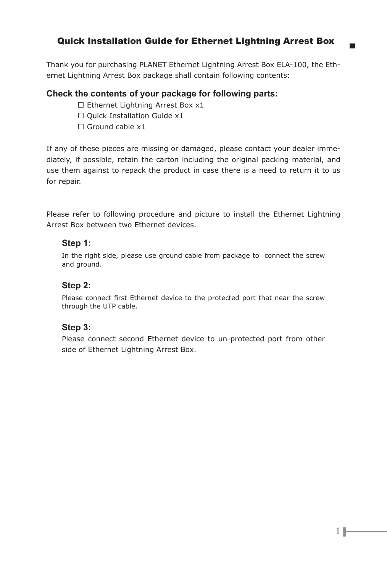Thank you for purchasing PLANET Ethernet Lightning Arrest Box ELA-100, the Ethernet Lightning Arrest Box package shall contain following contents:

#### **Check the contents of your package for following parts:**

 $\Box$  Ethernet Lightning Arrest Box x1

- $\Box$  Quick Installation Guide x1
- $\Box$  Ground cable x1

If any of these pieces are missing or damaged, please contact your dealer immediately, if possible, retain the carton including the original packing material, and use them against to repack the product in case there is a need to return it to us for repair.

Please refer to following procedure and picture to install the Ethernet Lightning Arrest Box between two Ethernet devices.

#### **Step 1:**

In the right side, please use ground cable from package to connect the screw and ground.

## **Step 2:**

Please connect first Ethernet device to the protected port that near the screw through the UTP cable.

## **Step 3:**

Please connect second Ethernet device to un-protected port from other side of Ethernet Lightning Arrest Box.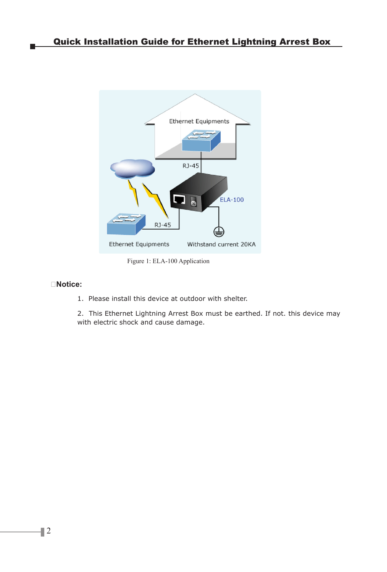

Figure 1: ELA-100 Application

#### **Notice:**

1. Please install this device at outdoor with shelter.

2. This Ethernet Lightning Arrest Box must be earthed. If not. this device may with electric shock and cause damage.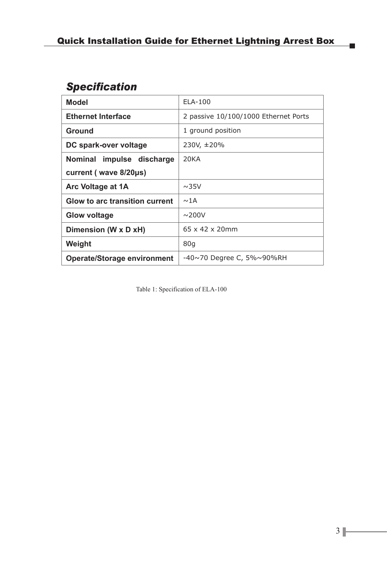# *Specification*

| Model                          | $ELA-100$                            |
|--------------------------------|--------------------------------------|
| <b>Ethernet Interface</b>      | 2 passive 10/100/1000 Ethernet Ports |
| Ground                         | 1 ground position                    |
| DC spark-over voltage          | 230V, ±20%                           |
| Nominal impulse discharge      | 20KA                                 |
| current (wave 8/20us)          |                                      |
| Arc Voltage at 1A              | $\sim$ 35V                           |
| Glow to arc transition current | $\sim$ 1A                            |
| Glow voltage                   | $\sim$ 200V                          |
| Dimension (W x D xH)           | $65 \times 42 \times 20$ mm          |
| Weight                         | 80q                                  |
| Operate/Storage environment    | -40~70 Degree C, 5%~90%RH            |

Table 1: Specification of ELA-100

 $\blacksquare$